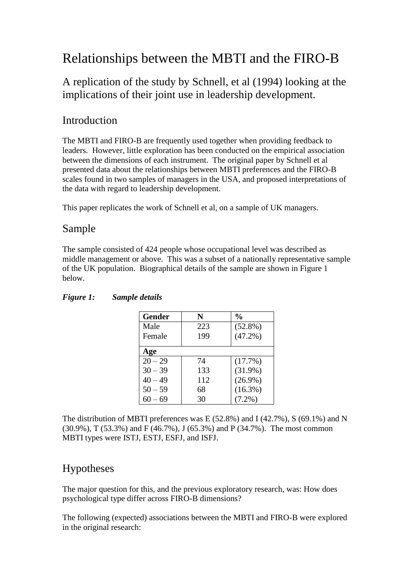# Relationships between the MBTI and the FIRO-B

## A replication of the study by Schnell, et al (1994) looking at the implications of their joint use in leadership development.

## Introduction

The MBTI and FIRO-B are frequently used together when providing feedback to leaders. However, little exploration has been conducted on the empirical association between the dimensions of each instrument. The original paper by Schnell et al presented data about the relationships between MBTI preferences and the FIRO-B scales found in two samples of managers in the USA, and proposed interpretations of the data with regard to leadership development.

This paper replicates the work of Schnell et al, on a sample of UK managers.

### Sample

The sample consisted of 424 people whose occupational level was described as middle management or above. This was a subset of a nationally representative sample of the UK population. Biographical details of the sample are shown in Figure 1 below.

| <b>Gender</b> | N   | $\frac{0}{0}$ |
|---------------|-----|---------------|
| Male          | 223 | $(52.8\%)$    |
| Female        | 199 | $(47.2\%)$    |
| Age           |     |               |
| $20 - 29$     | 74  | (17.7%)       |
| $30 - 39$     | 133 | $(31.9\%)$    |
| $40 - 49$     | 112 | $(26.9\%)$    |
| $50 - 59$     | 68  | $(16.3\%)$    |
| 60 – 69       | 30  | $(7.2\%)$     |

### *Figure 1: Sample details*

The distribution of MBTI preferences was E (52.8%) and I (42.7%), S (69.1%) and N (30.9%), T (53.3%) and F (46.7%), J (65.3%) and P (34.7%). The most common MBTI types were ISTJ, ESTJ, ESFJ, and ISFJ.

### Hypotheses

The major question for this, and the previous exploratory research, was: How does psychological type differ across FIRO-B dimensions?

The following (expected) associations between the MBTI and FIRO-B were explored in the original research: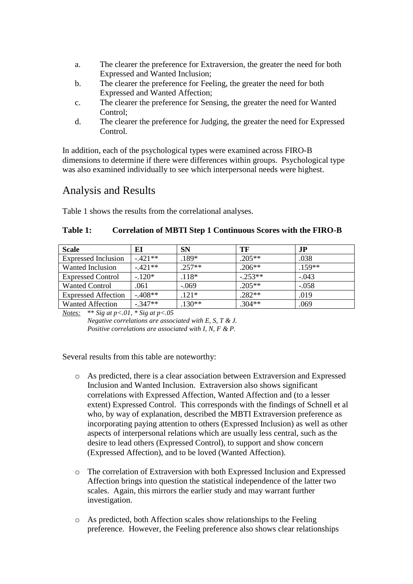- a. The clearer the preference for Extraversion, the greater the need for both Expressed and Wanted Inclusion;
- b. The clearer the preference for Feeling, the greater the need for both Expressed and Wanted Affection;
- c. The clearer the preference for Sensing, the greater the need for Wanted Control;
- d. The clearer the preference for Judging, the greater the need for Expressed Control.

In addition, each of the psychological types were examined across FIRO-B dimensions to determine if there were differences within groups. Psychological type was also examined individually to see which interpersonal needs were highest.

### Analysis and Results

Table 1 shows the results from the correlational analyses.

#### **Table 1: Correlation of MBTI Step 1 Continuous Scores with the FIRO-B**

| <b>Scale</b>               | EI        | <b>SN</b> | TF        | J <sub>P</sub> |
|----------------------------|-----------|-----------|-----------|----------------|
| <b>Expressed Inclusion</b> | $-421**$  | $.189*$   | $.205**$  | .038           |
| Wanted Inclusion           | $-421**$  | $.257**$  | $.206**$  | $.159**$       |
| <b>Expressed Control</b>   | $-.120*$  | $.118*$   | $-.253**$ | $-.043$        |
| <b>Wanted Control</b>      | .061      | $-.069$   | $.205**$  | $-.058$        |
| <b>Expressed Affection</b> | $-408**$  | $.121*$   | $.282**$  | .019           |
| <b>Wanted Affection</b>    | $-.347**$ | $130**$   | $.304**$  | .069           |

*Notes:* \*\* *Sig at p<.01, \* Sig at p<.05*

*Negative correlations are associated with E, S, T & J. Positive correlations are associated with I, N, F & P.*

Several results from this table are noteworthy:

- o As predicted, there is a clear association between Extraversion and Expressed Inclusion and Wanted Inclusion. Extraversion also shows significant correlations with Expressed Affection, Wanted Affection and (to a lesser extent) Expressed Control. This corresponds with the findings of Schnell et al who, by way of explanation, described the MBTI Extraversion preference as incorporating paying attention to others (Expressed Inclusion) as well as other aspects of interpersonal relations which are usually less central, such as the desire to lead others (Expressed Control), to support and show concern (Expressed Affection), and to be loved (Wanted Affection).
- o The correlation of Extraversion with both Expressed Inclusion and Expressed Affection brings into question the statistical independence of the latter two scales. Again, this mirrors the earlier study and may warrant further investigation.
- o As predicted, both Affection scales show relationships to the Feeling preference. However, the Feeling preference also shows clear relationships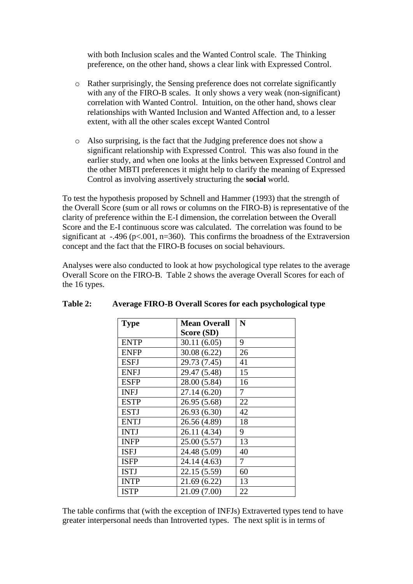with both Inclusion scales and the Wanted Control scale. The Thinking preference, on the other hand, shows a clear link with Expressed Control.

- o Rather surprisingly, the Sensing preference does not correlate significantly with any of the FIRO-B scales. It only shows a very weak (non-significant) correlation with Wanted Control. Intuition, on the other hand, shows clear relationships with Wanted Inclusion and Wanted Affection and, to a lesser extent, with all the other scales except Wanted Control
- o Also surprising, is the fact that the Judging preference does not show a significant relationship with Expressed Control. This was also found in the earlier study, and when one looks at the links between Expressed Control and the other MBTI preferences it might help to clarify the meaning of Expressed Control as involving assertively structuring the **social** world.

To test the hypothesis proposed by Schnell and Hammer (1993) that the strength of the Overall Score (sum or all rows or columns on the FIRO-B) is representative of the clarity of preference within the E-I dimension, the correlation between the Overall Score and the E-I continuous score was calculated. The correlation was found to be significant at  $-496$  (p<.001, n=360). This confirms the broadness of the Extraversion concept and the fact that the FIRO-B focuses on social behaviours.

Analyses were also conducted to look at how psychological type relates to the average Overall Score on the FIRO-B. Table 2 shows the average Overall Scores for each of the 16 types.

| <b>Type</b> | <b>Mean Overall</b> | N  |
|-------------|---------------------|----|
|             | Score (SD)          |    |
| <b>ENTP</b> | 30.11(6.05)         | 9  |
| <b>ENFP</b> | 30.08 (6.22)        | 26 |
| <b>ESFJ</b> | 29.73 (7.45)        | 41 |
| <b>ENFJ</b> | 29.47 (5.48)        | 15 |
| <b>ESFP</b> | 28.00 (5.84)        | 16 |
| <b>INFJ</b> | 27.14 (6.20)        | 7  |
| <b>ESTP</b> | 26.95 (5.68)        | 22 |
| <b>ESTJ</b> | 26.93 (6.30)        | 42 |
| <b>ENTJ</b> | 26.56 (4.89)        | 18 |
| <b>INTJ</b> | 26.11 (4.34)        | 9  |
| <b>INFP</b> | 25.00 (5.57)        | 13 |
| <b>ISFJ</b> | 24.48 (5.09)        | 40 |
| <b>ISFP</b> | 24.14 (4.63)        | 7  |
| <b>ISTJ</b> | 22.15 (5.59)        | 60 |
| <b>INTP</b> | 21.69 (6.22)        | 13 |
| <b>ISTP</b> | 21.09 (7.00)        | 22 |

#### **Table 2: Average FIRO-B Overall Scores for each psychological type**

The table confirms that (with the exception of INFJs) Extraverted types tend to have greater interpersonal needs than Introverted types. The next split is in terms of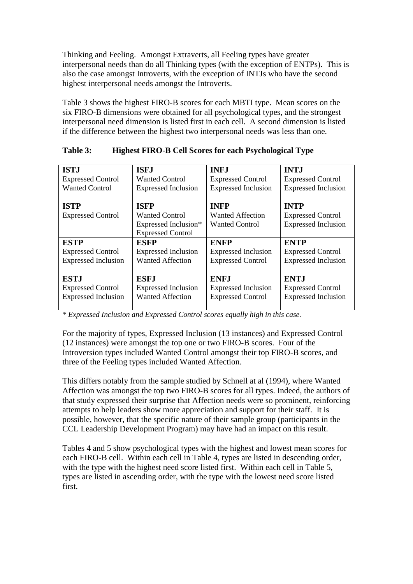Thinking and Feeling. Amongst Extraverts, all Feeling types have greater interpersonal needs than do all Thinking types (with the exception of ENTPs). This is also the case amongst Introverts, with the exception of INTJs who have the second highest interpersonal needs amongst the Introverts.

Table 3 shows the highest FIRO-B scores for each MBTI type. Mean scores on the six FIRO-B dimensions were obtained for all psychological types, and the strongest interpersonal need dimension is listed first in each cell. A second dimension is listed if the difference between the highest two interpersonal needs was less than one.

| <b>ISTJ</b>                | <b>ISFJ</b>                | <b>INFJ</b>                | <b>INTJ</b>                |
|----------------------------|----------------------------|----------------------------|----------------------------|
| <b>Expressed Control</b>   | <b>Wanted Control</b>      | <b>Expressed Control</b>   | <b>Expressed Control</b>   |
| <b>Wanted Control</b>      | <b>Expressed Inclusion</b> | <b>Expressed Inclusion</b> | <b>Expressed Inclusion</b> |
|                            |                            |                            |                            |
| <b>ISTP</b>                | <b>ISFP</b>                | <b>INFP</b>                | <b>INTP</b>                |
| <b>Expressed Control</b>   | <b>Wanted Control</b>      | Wanted Affection           | <b>Expressed Control</b>   |
|                            | Expressed Inclusion*       | <b>Wanted Control</b>      | <b>Expressed Inclusion</b> |
|                            | <b>Expressed Control</b>   |                            |                            |
| <b>ESTP</b>                | <b>ESFP</b>                | <b>ENFP</b>                | <b>ENTP</b>                |
| <b>Expressed Control</b>   | <b>Expressed Inclusion</b> | <b>Expressed Inclusion</b> | <b>Expressed Control</b>   |
| <b>Expressed Inclusion</b> | <b>Wanted Affection</b>    | <b>Expressed Control</b>   | <b>Expressed Inclusion</b> |
|                            |                            |                            |                            |
| <b>ESTJ</b>                | <b>ESFJ</b>                | <b>ENF.I</b>               | <b>ENTJ</b>                |
| <b>Expressed Control</b>   | <b>Expressed Inclusion</b> | <b>Expressed Inclusion</b> | <b>Expressed Control</b>   |
| <b>Expressed Inclusion</b> | <b>Wanted Affection</b>    | <b>Expressed Control</b>   | <b>Expressed Inclusion</b> |
|                            |                            |                            |                            |

#### **Table 3: Highest FIRO-B Cell Scores for each Psychological Type**

*\* Expressed Inclusion and Expressed Control scores equally high in this case.*

For the majority of types, Expressed Inclusion (13 instances) and Expressed Control (12 instances) were amongst the top one or two FIRO-B scores. Four of the Introversion types included Wanted Control amongst their top FIRO-B scores, and three of the Feeling types included Wanted Affection.

This differs notably from the sample studied by Schnell at al (1994), where Wanted Affection was amongst the top two FIRO-B scores for all types. Indeed, the authors of that study expressed their surprise that Affection needs were so prominent, reinforcing attempts to help leaders show more appreciation and support for their staff. It is possible, however, that the specific nature of their sample group (participants in the CCL Leadership Development Program) may have had an impact on this result.

Tables 4 and 5 show psychological types with the highest and lowest mean scores for each FIRO-B cell. Within each cell in Table 4, types are listed in descending order, with the type with the highest need score listed first. Within each cell in Table 5, types are listed in ascending order, with the type with the lowest need score listed first.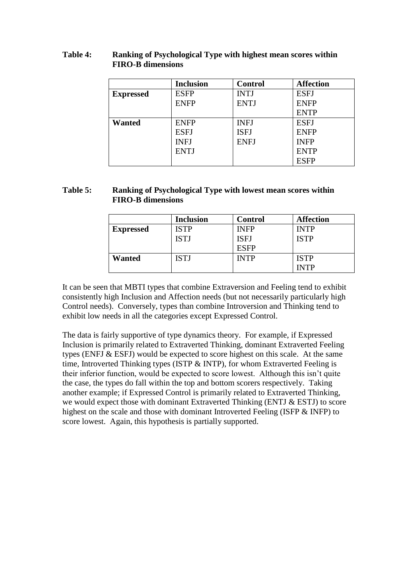#### **Table 4: Ranking of Psychological Type with highest mean scores within FIRO-B dimensions**

|                  | <b>Inclusion</b> | <b>Control</b> | <b>Affection</b> |
|------------------|------------------|----------------|------------------|
| <b>Expressed</b> | <b>ESFP</b>      | <b>INTJ</b>    | <b>ESFJ</b>      |
|                  | <b>ENFP</b>      | <b>ENTJ</b>    | <b>ENFP</b>      |
|                  |                  |                | <b>ENTP</b>      |
| <b>Wanted</b>    | <b>ENFP</b>      | <b>INFJ</b>    | <b>ESFJ</b>      |
|                  | <b>ESFJ</b>      | <b>ISFJ</b>    | <b>ENFP</b>      |
|                  | <b>INFJ</b>      | <b>ENFJ</b>    | <b>INFP</b>      |
|                  | <b>ENTJ</b>      |                | <b>ENTP</b>      |
|                  |                  |                | <b>ESFP</b>      |

#### **Table 5: Ranking of Psychological Type with lowest mean scores within FIRO-B dimensions**

|                  | <b>Inclusion</b> | <b>Control</b> | <b>Affection</b> |
|------------------|------------------|----------------|------------------|
| <b>Expressed</b> | ISTP             | INFP           | <b>INTP</b>      |
|                  | <b>ISTJ</b>      | ISFJ           | <b>ISTP</b>      |
|                  |                  | ESFP           |                  |
| Wanted           | ISTJ             | <b>NTP</b>     | <b>ISTP</b>      |
|                  |                  |                | INTP             |

It can be seen that MBTI types that combine Extraversion and Feeling tend to exhibit consistently high Inclusion and Affection needs (but not necessarily particularly high Control needs). Conversely, types than combine Introversion and Thinking tend to exhibit low needs in all the categories except Expressed Control.

The data is fairly supportive of type dynamics theory. For example, if Expressed Inclusion is primarily related to Extraverted Thinking, dominant Extraverted Feeling types (ENFJ & ESFJ) would be expected to score highest on this scale. At the same time, Introverted Thinking types (ISTP & INTP), for whom Extraverted Feeling is their inferior function, would be expected to score lowest. Although this isn't quite the case, the types do fall within the top and bottom scorers respectively. Taking another example; if Expressed Control is primarily related to Extraverted Thinking, we would expect those with dominant Extraverted Thinking (ENTJ & ESTJ) to score highest on the scale and those with dominant Introverted Feeling (ISFP & INFP) to score lowest. Again, this hypothesis is partially supported.